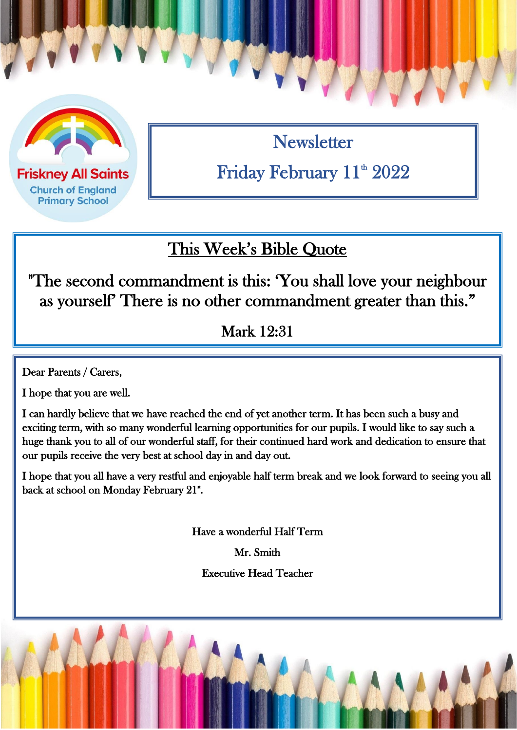

**Friskney All Saints Church of England Primary School** 

**Newsletter** Friday February 11<sup>th</sup> 2022

## This Week's Bible Quote

"The second commandment is this: 'You shall love your neighbour as yourself' There is no other commandment greater than this."

Mark 12:31

Dear Parents / Carers,

I hope that you are well.

I can hardly believe that we have reached the end of yet another term. It has been such a busy and exciting term, with so many wonderful learning opportunities for our pupils. I would like to say such a huge thank you to all of our wonderful staff, for their continued hard work and dedication to ensure that our pupils receive the very best at school day in and day out.

I hope that you all have a very restful and enjoyable half term break and we look forward to seeing you all back at school on Monday February 21\*.

Have a wonderful Half Term

Mr. Smith

Executive Head Teacher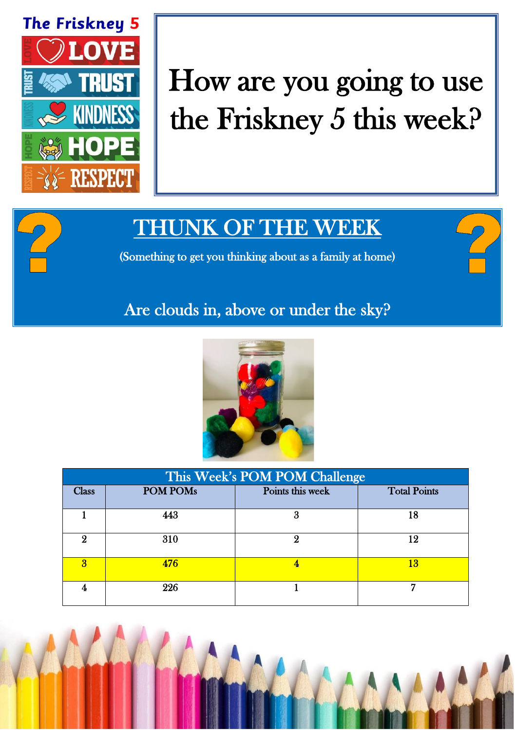

# How are you going to use the Friskney 5 this week?

## THUNK OF THE WEEK

(Something to get you thinking about as a family at home)

### Are clouds in, above or under the sky?



| This Week's POM POM Challenge |                 |                  |                     |  |
|-------------------------------|-----------------|------------------|---------------------|--|
| <b>Class</b>                  | <b>POM POMs</b> | Points this week | <b>Total Points</b> |  |
|                               | 443             | 3                | 18                  |  |
|                               | 310             | C)               | 12                  |  |
| $\mathbf{R}$                  | 476             |                  | 13                  |  |
|                               | 226             |                  |                     |  |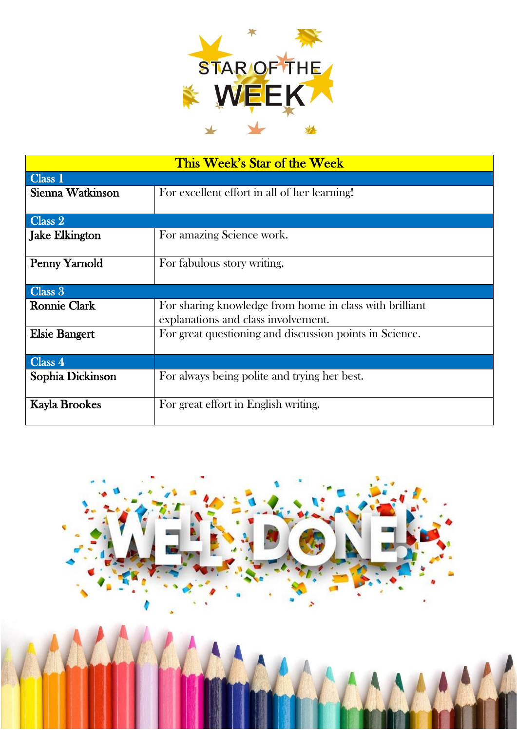

| This Week's Star of the Week |                                                         |  |  |  |
|------------------------------|---------------------------------------------------------|--|--|--|
| Class 1                      |                                                         |  |  |  |
| Sienna Watkinson             | For excellent effort in all of her learning!            |  |  |  |
|                              |                                                         |  |  |  |
| Class 2                      |                                                         |  |  |  |
| <b>Jake Elkington</b>        | For amazing Science work.                               |  |  |  |
| Penny Yarnold                | For fabulous story writing.                             |  |  |  |
|                              |                                                         |  |  |  |
| Class 3                      |                                                         |  |  |  |
| <b>Ronnie Clark</b>          | For sharing knowledge from home in class with brilliant |  |  |  |
|                              | explanations and class involvement.                     |  |  |  |
| <b>Elsie Bangert</b>         | For great questioning and discussion points in Science. |  |  |  |
|                              |                                                         |  |  |  |
| Class 4                      |                                                         |  |  |  |
| Sophia Dickinson             | For always being polite and trying her best.            |  |  |  |
|                              |                                                         |  |  |  |
| <b>Kayla Brookes</b>         | For great effort in English writing.                    |  |  |  |
|                              |                                                         |  |  |  |

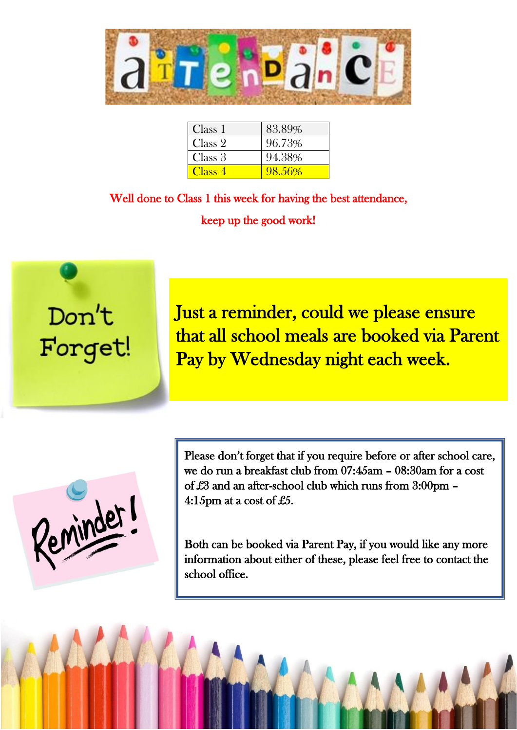

| Class 1 | 83.89% |
|---------|--------|
| Class 2 | 96.73% |
| Class 3 | 94.38% |
| Class 4 | 98.56% |

Well done to Class 1 this week for having the best attendance, keep up the good work!



Just a reminder, could we please ensure that all school meals are booked via Parent Pay by Wednesday night each week.

Reminder

Please don't forget that if you require before or after school care, we do run a breakfast club from 07:45am – 08:30am for a cost of £3 and an after-school club which runs from 3:00pm – 4:15pm at a cost of £5.

Both can be booked via Parent Pay, if you would like any more information about either of these, please feel free to contact the school office.